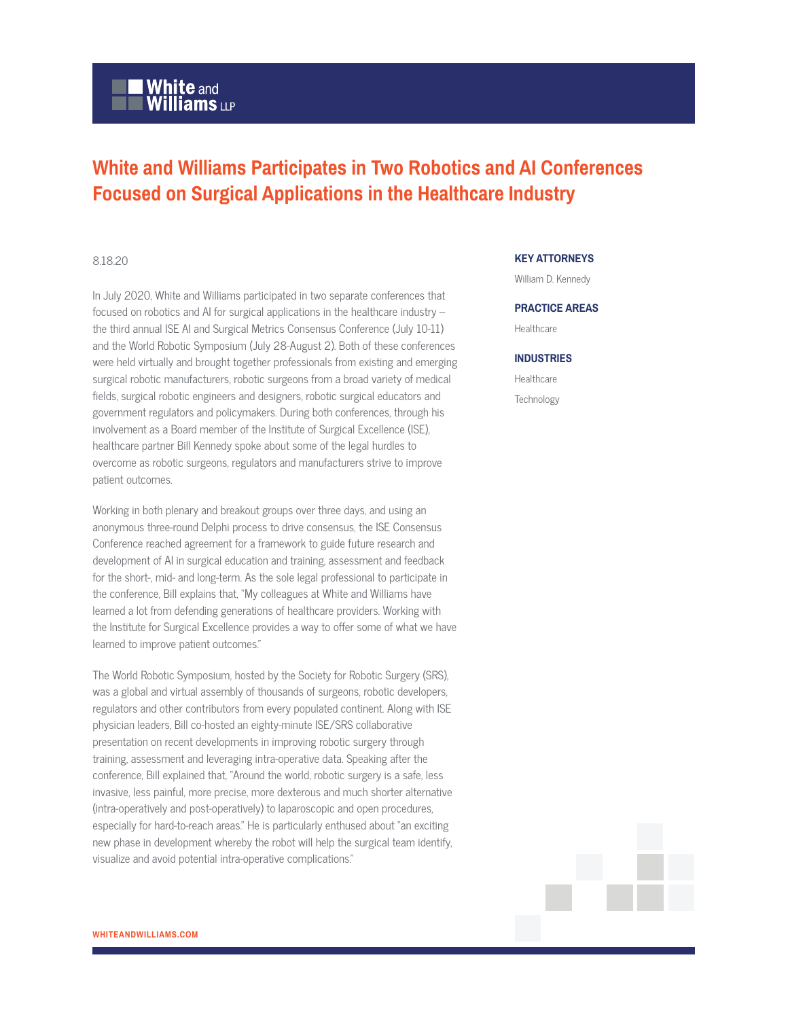# **White and Williams LLP**

# **White and Williams Participates in Two Robotics and AI Conferences Focused on Surgical Applications in the Healthcare Industry**

## 8.18.20

In July 2020, White and Williams participated in two separate conferences that focused on robotics and AI for surgical applications in the healthcare industry – the third annual ISE AI and Surgical Metrics Consensus Conference (July 10-11) and the World Robotic Symposium (July 28-August 2). Both of these conferences were held virtually and brought together professionals from existing and emerging surgical robotic manufacturers, robotic surgeons from a broad variety of medical fields, surgical robotic engineers and designers, robotic surgical educators and government regulators and policymakers. During both conferences, through his involvement as a Board member of the Institute of Surgical Excellence (ISE), healthcare partner Bill Kennedy spoke about some of the legal hurdles to overcome as robotic surgeons, regulators and manufacturers strive to improve patient outcomes.

Working in both plenary and breakout groups over three days, and using an anonymous three-round Delphi process to drive consensus, the ISE Consensus Conference reached agreement for a framework to guide future research and development of AI in surgical education and training, assessment and feedback for the short-, mid- and long-term. As the sole legal professional to participate in the conference, Bill explains that, "My colleagues at White and Williams have learned a lot from defending generations of healthcare providers. Working with the Institute for Surgical Excellence provides a way to offer some of what we have learned to improve patient outcomes."

The World Robotic Symposium, hosted by the Society for Robotic Surgery (SRS), was a global and virtual assembly of thousands of surgeons, robotic developers, regulators and other contributors from every populated continent. Along with ISE physician leaders, Bill co-hosted an eighty-minute ISE/SRS collaborative presentation on recent developments in improving robotic surgery through training, assessment and leveraging intra-operative data. Speaking after the conference, Bill explained that, "Around the world, robotic surgery is a safe, less invasive, less painful, more precise, more dexterous and much shorter alternative (intra-operatively and post-operatively) to laparoscopic and open procedures, especially for hard-to-reach areas." He is particularly enthused about "an exciting new phase in development whereby the robot will help the surgical team identify, visualize and avoid potential intra-operative complications."

## **KEY ATTORNEYS**

William D. Kennedy

#### **PRACTICE AREAS**

**Healthcare** 

### **INDUSTRIES**

Healthcare **Technology**